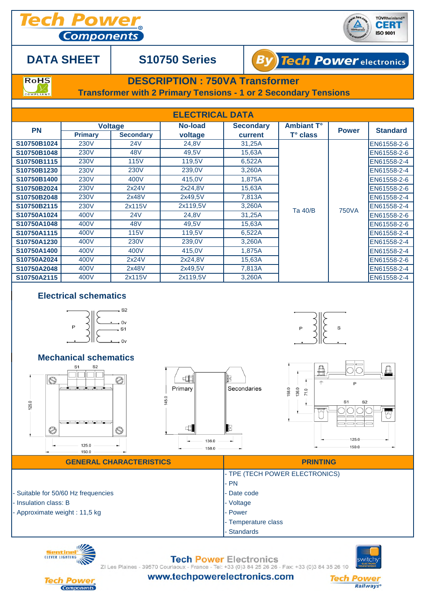**Components** 



## **DATA SHEET**

## **S10750 Series**



**RoHS** COMPLIANT

## **DESCRIPTION : 750VA Transformer**

**Transformer with 2 Primary Tensions - 1 or 2 Secondary Tensions**

| <b>ELECTRICAL DATA</b> |                |                                    |                    |                             |                                 |              |                 |  |  |  |  |
|------------------------|----------------|------------------------------------|--------------------|-----------------------------|---------------------------------|--------------|-----------------|--|--|--|--|
| <b>PN</b>              | <b>Primary</b> | <b>Voltage</b><br><b>Secondary</b> | No-load<br>voltage | <b>Secondary</b><br>current | <b>Ambiant T°</b><br>$T°$ class | <b>Power</b> | <b>Standard</b> |  |  |  |  |
| S10750B1024            | <b>230V</b>    | 24V                                | 24,8V              | 31,25A                      | Ta 40/B                         | <b>750VA</b> | EN61558-2-6     |  |  |  |  |
| S10750B1048            | <b>230V</b>    | 48 <sub>V</sub>                    | 49,5V              | 15,63A                      |                                 |              | EN61558-2-6     |  |  |  |  |
| S10750B1115            | 230V           | <b>115V</b>                        | 119,5V             | 6,522A                      |                                 |              | EN61558-2-4     |  |  |  |  |
| S10750B1230            | <b>230V</b>    | <b>230V</b>                        | 239,0V             | 3,260A                      |                                 |              | EN61558-2-4     |  |  |  |  |
| S10750B1400            | 230V           | 400V                               | 415,0V             | 1.875A                      |                                 |              | EN61558-2-6     |  |  |  |  |
| S10750B2024            | <b>230V</b>    | 2x24V                              | 2x24,8V            | 15,63A                      |                                 |              | EN61558-2-6     |  |  |  |  |
| S10750B2048            | <b>230V</b>    | 2x48V                              | 2x49,5V            | 7,813A                      |                                 |              | EN61558-2-4     |  |  |  |  |
| S10750B2115            | <b>230V</b>    | 2x115V                             | 2x119,5V           | 3,260A                      |                                 |              | EN61558-2-4     |  |  |  |  |
| S10750A1024            | 400V           | 24V                                | 24,8V              | 31,25A                      |                                 |              | EN61558-2-6     |  |  |  |  |
| S10750A1048            | 400V           | 48 <sub>V</sub>                    | 49,5V              | 15,63A                      |                                 |              | EN61558-2-6     |  |  |  |  |
| S10750A1115            | 400V           | <b>115V</b>                        | 119,5V             | 6,522A                      |                                 |              | EN61558-2-4     |  |  |  |  |
| S10750A1230            | 400V           | <b>230V</b>                        | 239,0V             | 3,260A                      |                                 |              | EN61558-2-4     |  |  |  |  |
| S10750A1400            | 400V           | 400V                               | 415,0V             | 1,875A                      |                                 |              | EN61558-2-4     |  |  |  |  |
| S10750A2024            | 400V           | 2x24V                              | 2x24,8V            | 15,63A                      |                                 |              | EN61558-2-6     |  |  |  |  |
| S10750A2048            | 400V           | 2x48V                              | 2x49,5V            | 7,813A                      |                                 |              | EN61558-2-4     |  |  |  |  |
| S10750A2115            | 400V           | 2x115V                             | 2x119,5V           | 3,260A                      |                                 |              | EN61558-2-4     |  |  |  |  |

### **Electrical schematics**





**Tech Power Electronics** ZI Les Plaines - 39570 Courlaoux - France - Tel: +33 (0)3 84 25 26 26 - Fax: +33 (0)3 84 35 26 10

**Standards** 





www.techpowerelectronics.com

**Tech I Railways**